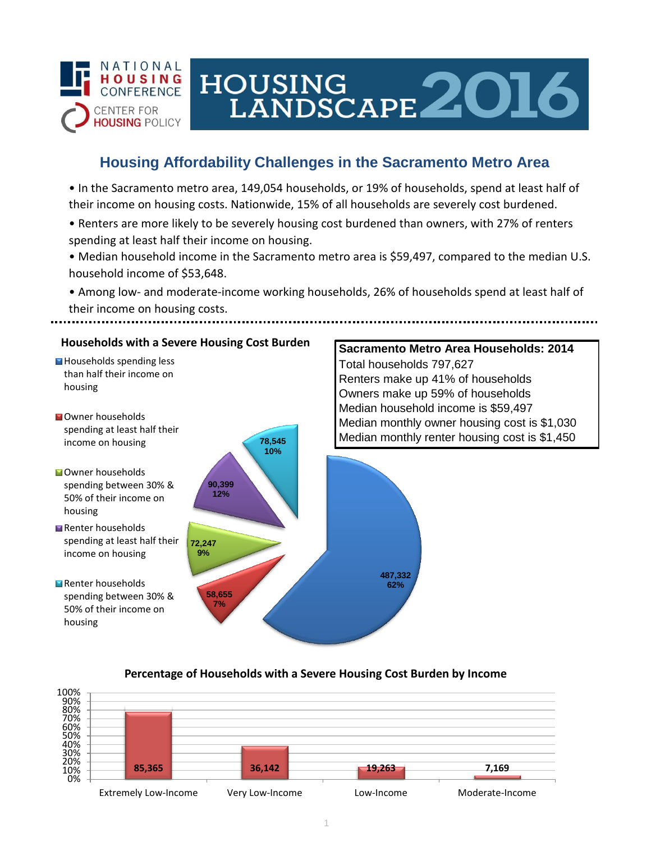

# HOUSING LANDSCAPE 2016

## **Housing Affordability Challenges in the Sacramento Metro Area**

• In the Sacramento metro area, 149,054 households, or 19% of households, spend at least half of their income on housing costs. Nationwide, 15% of all households are severely cost burdened.

- Renters are more likely to be severely housing cost burdened than owners, with 27% of renters spending at least half their income on housing.
- Median household income in the Sacramento metro area is \$59,497, compared to the median U.S. household income of \$53,648.
- Among low- and moderate-income working households, 26% of households spend at least half of their income on housing costs.



### **Percentage of Households with a Severe Housing Cost Burden by Income**